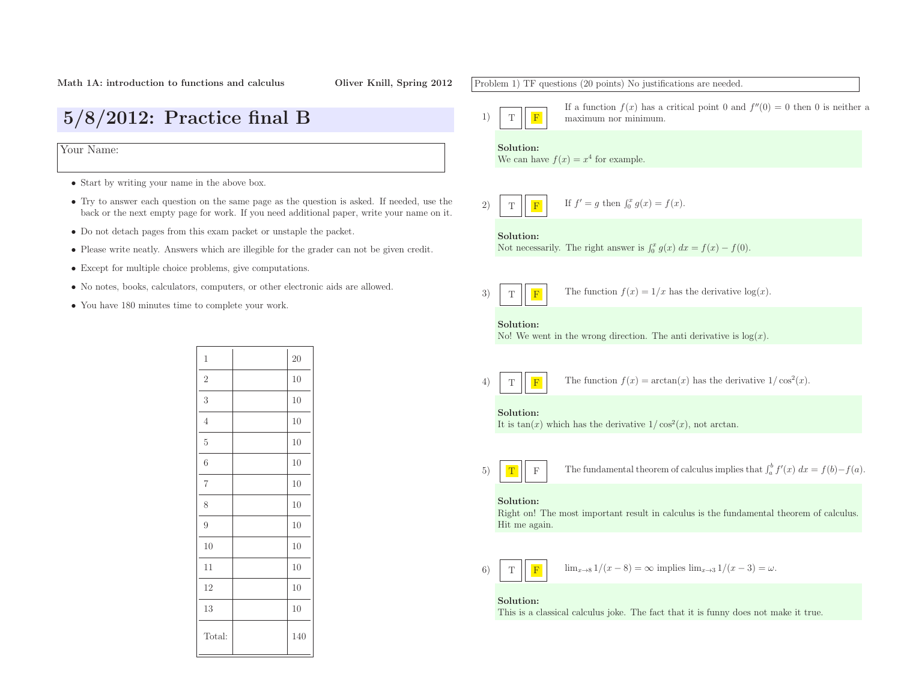5/8/2012: Practice final <sup>B</sup>

Your Name:

- Start by writing your name in the above box.
- Try to answer each question on the same page as the question is asked. If needed, use the back or the next empty page for work. If you need additional paper, write your name on it.
- Do not detach pages from this exam packet or unstaple the packet.
- Please write neatly. Answers which are illegible for the grader can not be <sup>g</sup>iven credit.
- Except for multiple choice problems, <sup>g</sup>ive computations.
- No notes, books, calculators, computers, or other electronic aids are allowed.
- You have <sup>180</sup> minutes time to complete your work.

| $\mathbf 1$    | 20  |
|----------------|-----|
| $\overline{2}$ | 10  |
| $\sqrt{3}$     | 10  |
| $\overline{4}$ | 10  |
| $\mathbf 5$    | 10  |
| 6              | 10  |
| $\,7$          | 10  |
| 8              | 10  |
| $\overline{9}$ | 10  |
| 10             | 10  |
| 11             | 10  |
| 12             | 10  |
| 13             | 10  |
| Total:         | 140 |

Problem 1) TF questions (20 points) No justifications are needed.

- 1)TF
	- If a function  $f(x)$  has a critical point 0 and  $f''(0) = 0$  then 0 is neither a maximum nor minimum.

# Solution:

We can have  $f(x) = x^4$  for example.

2) 
$$
\boxed{\text{T}}
$$
 If  $f' = g$  then  $\int_0^x g(x) = f(x)$ .

# Solution:

Not necessarily. The right answer is  $\int_0^x g(x) dx = f(x) - f(0)$ .

3)TF

4)

The function  $f(x) = 1/x$  has the derivative  $log(x)$ .

# Solution:

No! We went in the wrong direction. The anti derivative is  $log(x)$ .

TF**F** The function  $f(x) = \arctan(x)$  has the derivative  $1/\cos^2(x)$ .

## Solution:

It is  $tan(x)$  which has the derivative  $1/cos<sup>2</sup>(x)$ , not arctan.

5)TF

F The fundamental theorem of calculus implies that  $\int_a^b f'(x) dx = f(b) - f(a)$ .

## Solution:

 Right on! The most important result in calculus is the fundamental theorem of calculus. Hit me again.

$$
6) \quad T \quad F \quad 1
$$

 $\mathbf{F}$   $\lim_{x\to 8} 1/(x-8) = \infty$  implies  $\lim_{x\to 3} 1/(x-3) = \omega$ .

# Solution:

This is <sup>a</sup> classical calculus joke. The fact that it is funny does not make it true.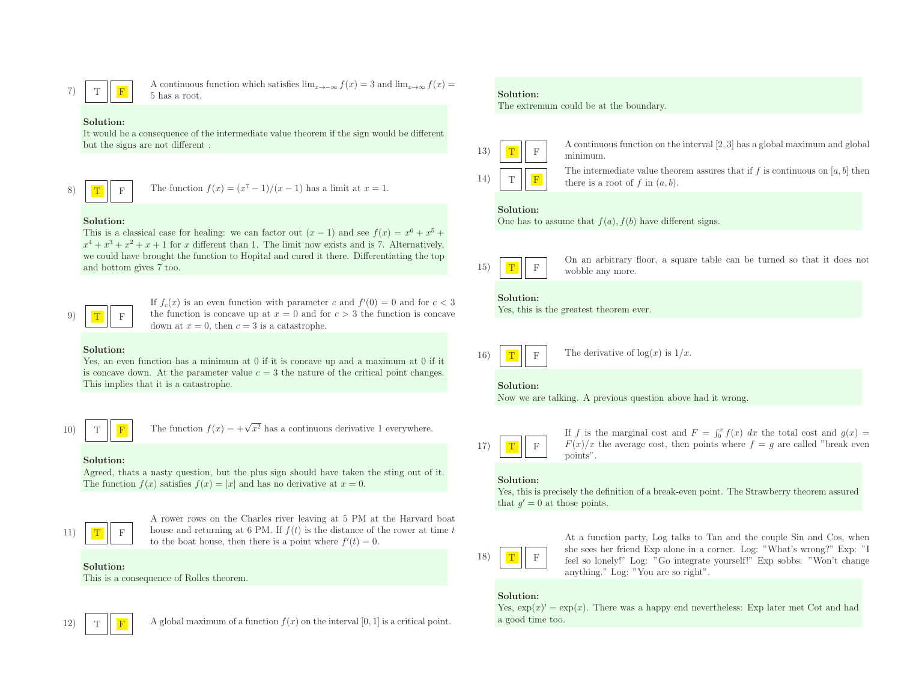$$
7) \quad T
$$

A continuous function which satisfies  $\lim_{x\to-\infty} f(x) = 3$  and  $\lim_{x\to\infty} f(x) = 5$  has a root.

## Solution:

 It would be <sup>a</sup> consequence of the intermediate value theorem if the sign would be different but the signs are not different .

$$
8) \boxed{\textcolor{blue}{\textbf{T}}}
$$

F The function  $f(x) = (x^7 - 1)/(x - 1)$  has a limit at  $x = 1$ .

## Solution:

This is a classical case for healing: we can factor out  $(x - 1)$  and see  $f(x) = x^6 + x^5 +$  $x^4 + x^3 + x^2 + x + 1$  for x different than 1. The limit now exists and is 7. Alternatively, we could have brought the function to Hopital and cured it there. Differentiating the topand bottom <sup>g</sup>ives <sup>7</sup> too.

9)) | <mark>T</mark> <sup>F</sup> If  $f_c(x)$  is an even function with parameter c and  $f'(0) = 0$  and for  $c < 3$ the function is concave up at  $x = 0$  and for  $c > 3$  the function is concave down at  $x = 0$ , then  $c = 3$  is a catastrophe.

## Solution:

Yes, an even function has a minimum at 0 if it is concave up and a maximum at 0 if it is concave down. At the parameter value  $c = 3$  the nature of the critical point changes. This implies that it is <sup>a</sup> catastrophe.

10)

The function  $f(x) = +\sqrt{x^2}$  has a continuous derivative 1 everywhere.

## Solution:

T

 Agreed, thats <sup>a</sup> nasty question, but the <sup>p</sup>lus sign should have taken the sting out of it. The function  $f(x)$  satisfies  $f(x) = |x|$  and has no derivative at  $x = 0$ .



<sup>A</sup> rower rows on the Charles river leaving at <sup>5</sup> PM at the Harvard boat house and returning at 6 PM. If  $f(t)$  is the distance of the rower at time t to the boat house, then there is a point where  $f'(t) = 0$ .

### Solution:

This is <sup>a</sup> consequence of Rolles theorem.



A global maximum of a function  $f(x)$  on the interval [0, 1] is a critical point.

# Solution:

The extremum could be at the boundary.



 $\boxed{\text{F}}$  A continuous function on the interval [2, 3] has a global maximum and global minimum.

14)) | T <sup>F</sup> The intermediate value theorem assures that if f is continuous on  $[a, b]$  then there is a root of f in  $(a, b)$ .

# Solution:

One has to assume that  $f(a)$ ,  $f(b)$  have different signs.



 $\Gamma$  On an arbitrary floor, a square table can be turned so that it does not wobble any more.

### Solution:

Yes, this is the greatest theorem ever.

16)) | <mark>T</mark> F The derivative of  $log(x)$  is  $1/x$ .

## Solution:

Now we are talking. <sup>A</sup> previous question above had it wrong.



If f is the marginal cost and  $F = \int_0^x f(x) dx$  the total cost and  $g(x) =$  $F(x)/x$  the average cost, then points where  $f = g$  are called "break even" points".

# Solution:





At <sup>a</sup> function party, Log talks to Tan and the couple Sin and Cos, when she sees her friend Exp alone in <sup>a</sup> corner. Log: "What's wrong?" Exp: "I feel so lonely!" Log: "Go integrate yourself!" Exp sobbs: "Won't change anything." Log: "You are so right".

# Solution:

Yes,  $\exp(x)' = \exp(x)$ . There was a happy end nevertheless: Exp later met Cot and had <sup>a</sup> good time too.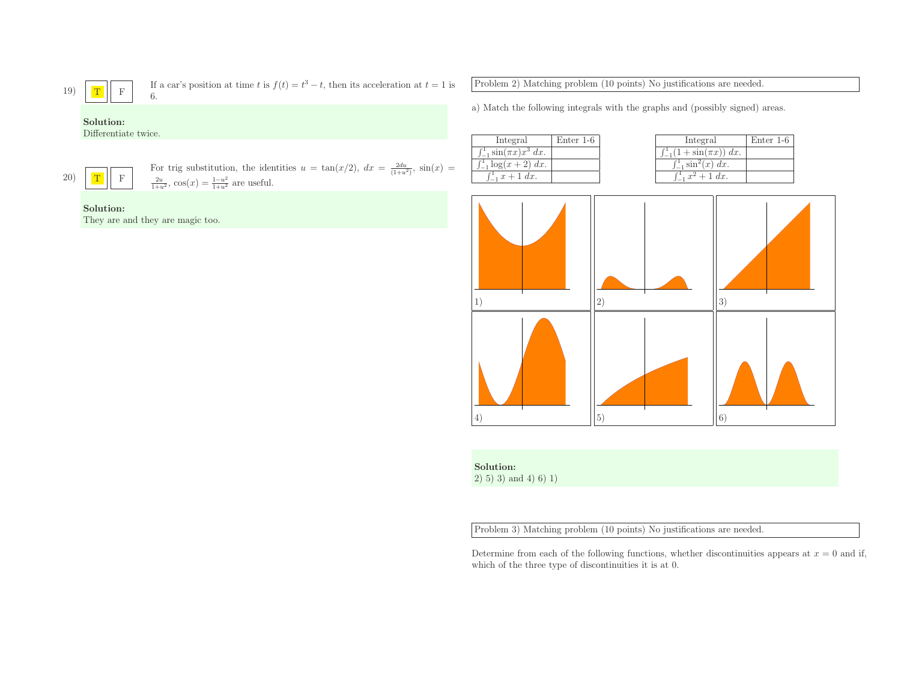**T** If a car's position at time t is 
$$
f(t) = t^3 - t
$$
, then its acceleration at  $t = 1$  is  
6.

Differentiate twice.

<sup>F</sup>

20)T

19)

For trig substitution, the identities  $u = \tan(x/2)$ ,  $dx = \frac{2du}{(1+u^2)}$ ,  $\sin(x) = \frac{2u}{1+u^2}$ ,  $\cos(x) = \frac{1-u^2}{1+u^2}$  are useful.

# Solution:

They are and they are magic too.

Problem 2) Matching problem (10 points) No justifications are needed.

a) Match the following integrals with the graphs and (possibly signed) areas.

| Integral                             | Enter 1-6 |
|--------------------------------------|-----------|
| $\int_{-1}^{1} \sin(\pi x) x^3 dx$ . |           |
| $\int_{-1}^{1} \log(x+2) \, dx$ .    |           |
| $\int_{-1}^{1} x + 1 \, dx$ .        |           |

| Integral              | Enter $1-6$ | Integral                               | Enter 1-6 |
|-----------------------|-------------|----------------------------------------|-----------|
| $\sin(\pi x)x^3 dx$ . |             | $\int_{-1}^{1} (1 + \sin(\pi x)) dx$ . |           |
| $\log(x+2) dx$ .      |             | $\int_{-1}^{1} \sin^{2}(x) dx$ .       |           |
| $x + 1 dx$ .          |             | $\int_{-1}^{1} x^2 + 1 \ dx$ .         |           |



Solution:

 $2)$  5) 3) and 4) 6) 1)

Problem 3) Matching problem (10 points) No justifications are needed.

Determine from each of the following functions, whether discontinuities appears at  $x = 0$  and if, which of the three type of discontinuities it is at 0.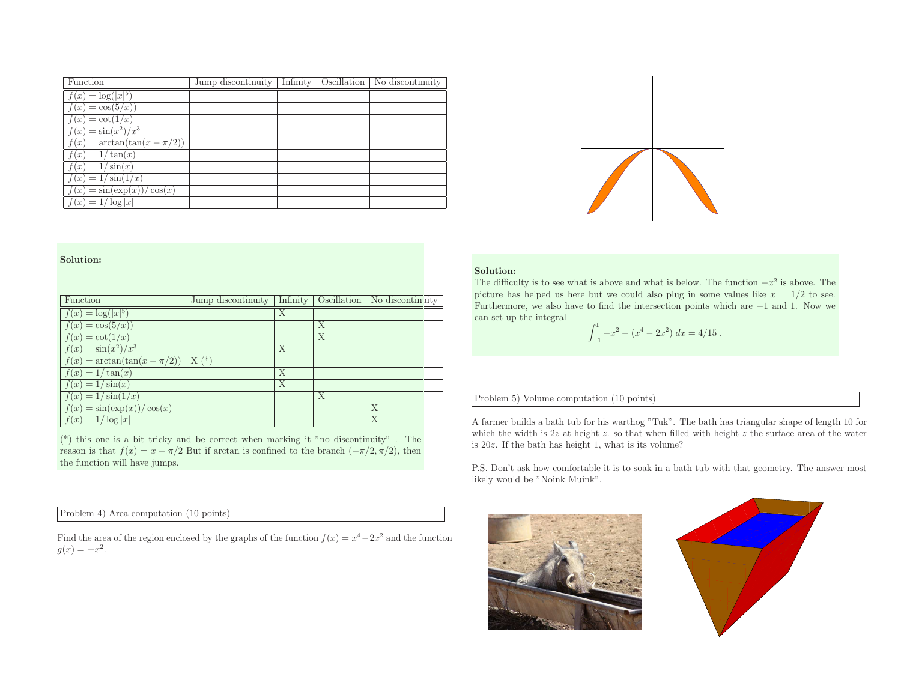| Function                          | Jump discontinuity |  | Infinity   Oscillation   No discontinuity |
|-----------------------------------|--------------------|--|-------------------------------------------|
| $f(x) = \log( x ^5)$              |                    |  |                                           |
| $f(x) = \overline{\cos(5/x)}$     |                    |  |                                           |
| $f(x) = \cot(1/x)$                |                    |  |                                           |
| $f(x) = \frac{\sin(x^2)}{x^3}$    |                    |  |                                           |
| $f(x) = \arctan(\tan(x - \pi/2))$ |                    |  |                                           |
| $f(x) = 1/\tan(x)$                |                    |  |                                           |
| $f(x) = 1/\sin(x)$                |                    |  |                                           |
| $f(x) = 1/\sin(1/x)$              |                    |  |                                           |
| $f(x) = \sin(\exp(x))/\cos(x)$    |                    |  |                                           |
| $f(x) = 1/\log  x $               |                    |  |                                           |

| Function<br>$f(x) = \log( x ^5)$<br>$f(x) = \cos(5/x)$<br>$f(x) = \cot(1/x)$                                                                                                                                                                                                                                  | Jump discontinuity | Infinity<br>Х | Oscillation<br>X<br>X | No discontinuity | Solution:<br>The difficulty is to see what is above and what is below. The function $-x^2$ is above. The<br>picture has helped us here but we could also plug in some values like $x = 1/2$ to see.<br>Furthermore, we also have to find the intersection points which are $-1$ and 1. Now we<br>can set up the integral<br>$\int_{-1}^{1} -x^2 - (x^4 - 2x^2) dx = 4/15.$                                                                          |
|---------------------------------------------------------------------------------------------------------------------------------------------------------------------------------------------------------------------------------------------------------------------------------------------------------------|--------------------|---------------|-----------------------|------------------|-----------------------------------------------------------------------------------------------------------------------------------------------------------------------------------------------------------------------------------------------------------------------------------------------------------------------------------------------------------------------------------------------------------------------------------------------------|
| $f(x) = \sin(x^2)/x^3$<br>$f(x) = \arctan(\tan(x - \pi/2))$<br>$f(x) = 1/\tan(x)$<br>$f(x) = 1/\sin(x)$                                                                                                                                                                                                       | $X(*)$             | X<br>X<br>X   |                       |                  |                                                                                                                                                                                                                                                                                                                                                                                                                                                     |
| $f(x) = 1/\sin(1/x)$<br>$f(x) = \sin(\exp(x))/\cos(x)$<br>$f(x) = 1/\log  x $<br>$(*)$ this one is a bit tricky and be correct when marking it "no discontinuity". The<br>reason is that $f(x) = x - \pi/2$ But if arctan is confined to the branch $(-\pi/2, \pi/2)$ , then<br>the function will have jumps. |                    |               | X                     | X<br>X           | Problem 5) Volume computation (10 points)<br>A farmer builds a bath tub for his warthog "Tuk". The bath has triangular shape of length 10 for<br>which the width is 2z at height z, so that when filled with height z the surface area of the water<br>is $20z$ . If the bath has height 1, what is its volume?<br>P.S. Don't ask how comfortable it is to soak in a bath tub with that geometry. The answer most<br>likely would be "Noink Muink". |
| Problem 4) Area computation (10 points)<br>Find the area of the region enclosed by the graphs of the function $f(x) = x^4 - 2x^2$ and the function<br>$g(x) = -x^2$ .                                                                                                                                         |                    |               |                       |                  |                                                                                                                                                                                                                                                                                                                                                                                                                                                     |

$$
\int_{-1}^{1} -x^2 - (x^4 - 2x^2) \, dx = 4/15
$$



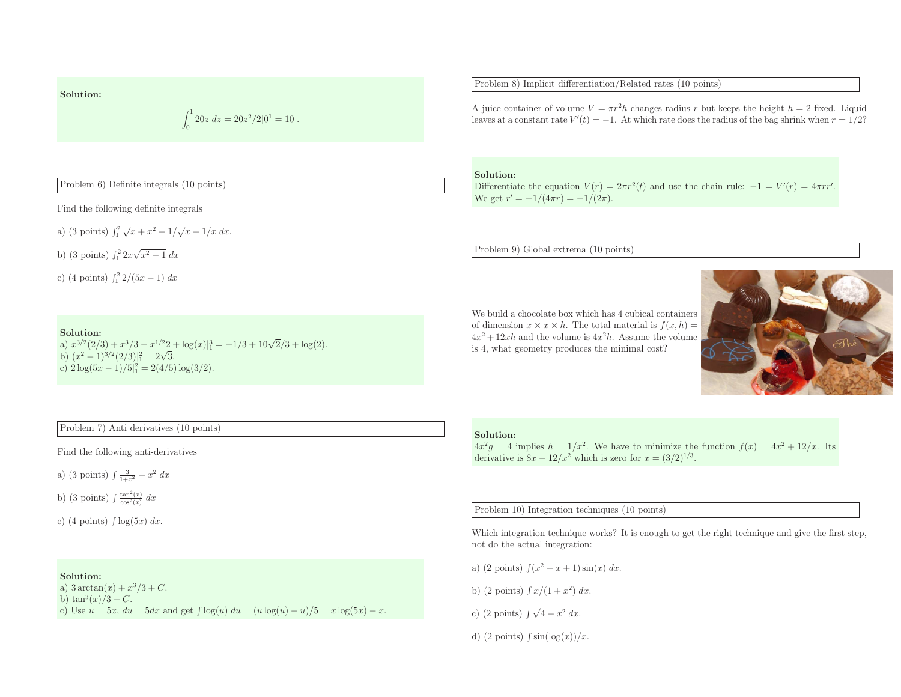$$
\int_0^1 20z \, dz = 20z^2/2 \vert 0^1 = 10 \ .
$$

Problem 6) Definite integrals (10 points)

Find the following definite integrals

a) (3 points) 
$$
\int_1^2 \sqrt{x} + x^2 - 1/\sqrt{x} + 1/x \, dx
$$
.

b) (3 points)  $\int_1^2 2x\sqrt{x^2 - 1} \, dx$ 

c) (4 points)  $\int_1^2 2/(5x - 1) dx$ 

# Solution:

a)  $x^{3/2}(2/3) + x^{3}/3 - x^{1/2}2 + \log(x)|_1^3 = -1/3 + 10\sqrt{2}/3 + \log(2)$ . b)  $(x^2 - 1)^{3/2} (2/3)|_1^2 = 2\sqrt{3}.$ c)  $2\log(5x-1)/5\vert_1^2 = 2(4/5)\log(3/2).$ 



# Problem 7) Anti derivatives (10 points)

Find the following anti-derivatives

a) (3 points)  $\int \frac{3}{1+x^2} + x^2 dx$ 

b) (3 points)  $\int \frac{\tan^2(x)}{\cos^2(x)} dx$ 

c) (4 points)  $\int \log(5x) dx$ .

# Solution:

a)  $3 \arctan(x) + x^3/3 + C$ .<br>b)  $\tan^3(x)/3 + C$ . b) tan<sup>3</sup> $(x)/3 + C$ .<br>c) Use  $u = 5x$ ,  $du = 5dx$  and get  $\int \log(u) du = (u \log(u) -$ 

c) (2 points)  $\int \sqrt{4-x^2} dx$ .

d) (2 points)  $\int \sin(\log(x))/x$ .